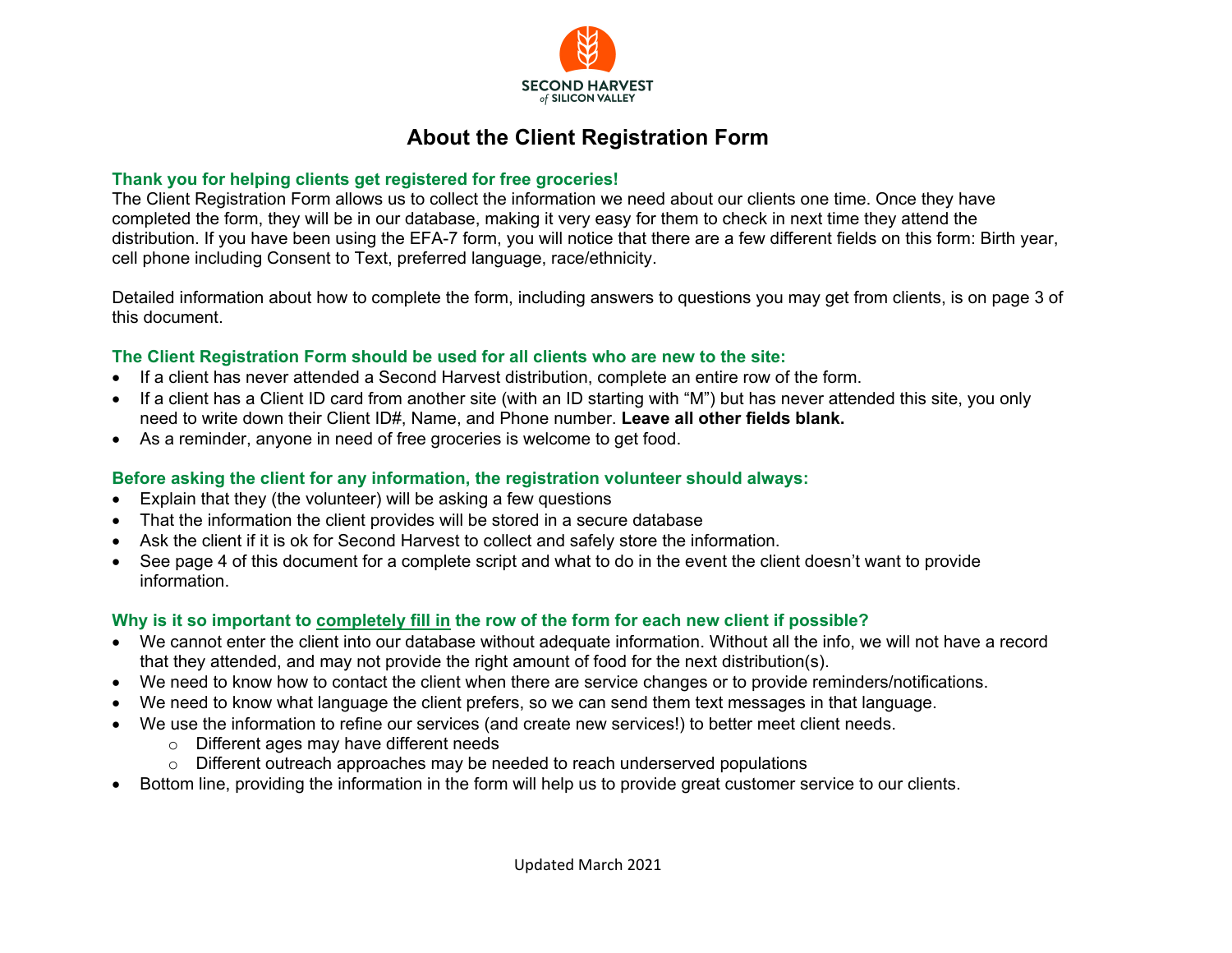

### **About the Client Registration Form**

#### **Thank you for helping clients get registered for free groceries!**

The Client Registration Form allows us to collect the information we need about our clients one time. Once they have completed the form, they will be in our database, making it very easy for them to check in next time they attend the distribution. If you have been using the EFA-7 form, you will notice that there are a few different fields on this form: Birth year, cell phone including Consent to Text, preferred language, race/ethnicity.

Detailed information about how to complete the form, including answers to questions you may get from clients, is on page 3 of this document.

#### **The Client Registration Form should be used for all clients who are new to the site:**

- If a client has never attended a Second Harvest distribution, complete an entire row of the form.
- If a client has a Client ID card from another site (with an ID starting with "M") but has never attended this site, you only need to write down their Client ID#, Name, and Phone number. **Leave all other fields blank.**
- As a reminder, anyone in need of free groceries is welcome to get food.

#### **Before asking the client for any information, the registration volunteer should always:**

- Explain that they (the volunteer) will be asking a few questions
- That the information the client provides will be stored in a secure database
- Ask the client if it is ok for Second Harvest to collect and safely store the information.
- See page 4 of this document for a complete script and what to do in the event the client doesn't want to provide information.

#### **Why is it so important to completely fill in the row of the form for each new client if possible?**

- We cannot enter the client into our database without adequate information. Without all the info, we will not have a record that they attended, and may not provide the right amount of food for the next distribution(s).
- We need to know how to contact the client when there are service changes or to provide reminders/notifications.
- We need to know what language the client prefers, so we can send them text messages in that language.
- We use the information to refine our services (and create new services!) to better meet client needs.
	- o Different ages may have different needs
	- $\circ$  Different outreach approaches may be needed to reach underserved populations
- Bottom line, providing the information in the form will help us to provide great customer service to our clients.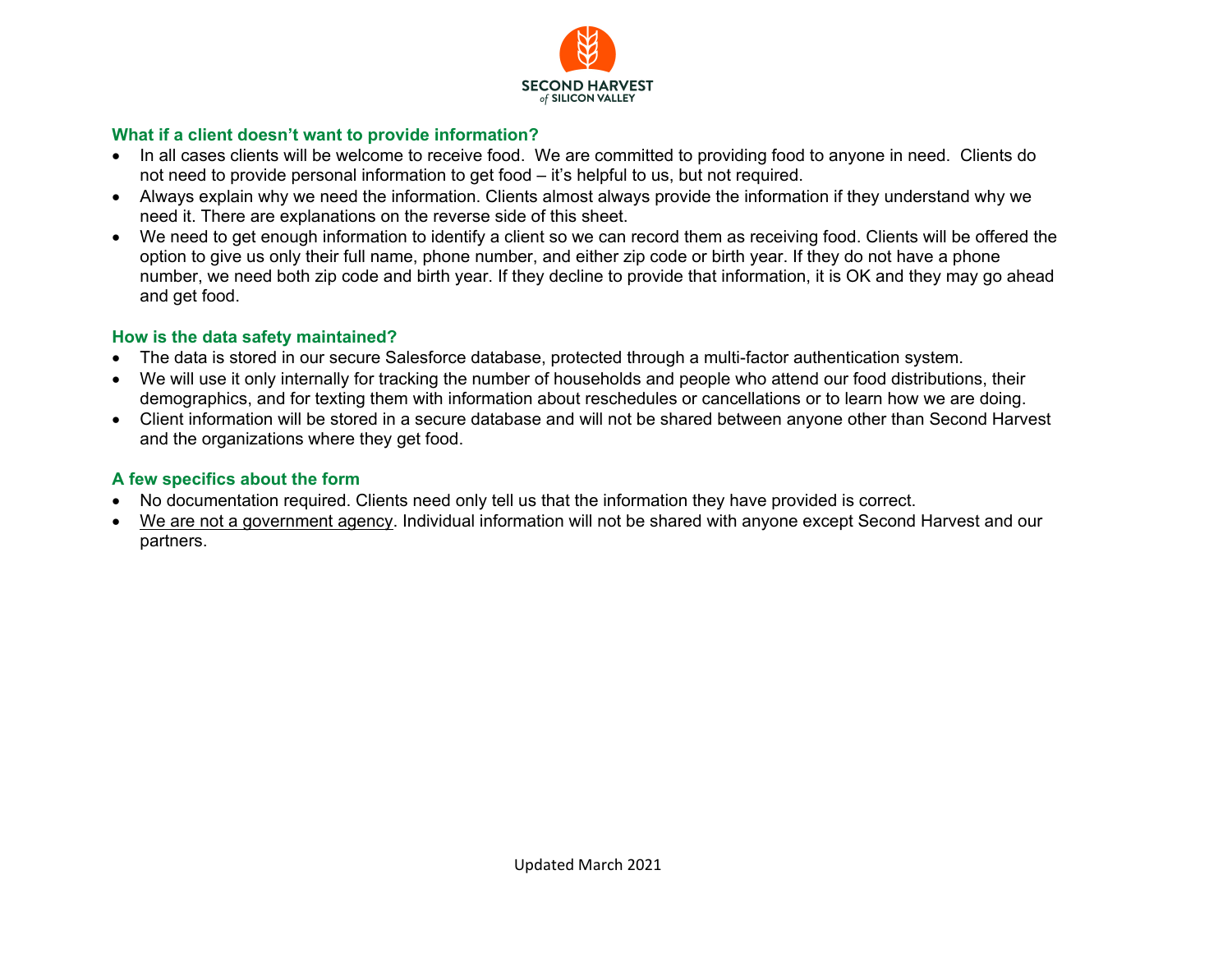

#### **What if a client doesn't want to provide information?**

- In all cases clients will be welcome to receive food. We are committed to providing food to anyone in need. Clients do not need to provide personal information to get food – it's helpful to us, but not required.
- Always explain why we need the information. Clients almost always provide the information if they understand why we need it. There are explanations on the reverse side of this sheet.
- We need to get enough information to identify a client so we can record them as receiving food. Clients will be offered the option to give us only their full name, phone number, and either zip code or birth year. If they do not have a phone number, we need both zip code and birth year. If they decline to provide that information, it is OK and they may go ahead and get food.

#### **How is the data safety maintained?**

- The data is stored in our secure Salesforce database, protected through a multi-factor authentication system.
- We will use it only internally for tracking the number of households and people who attend our food distributions, their demographics, and for texting them with information about reschedules or cancellations or to learn how we are doing.
- Client information will be stored in a secure database and will not be shared between anyone other than Second Harvest and the organizations where they get food.

#### **A few specifics about the form**

- No documentation required. Clients need only tell us that the information they have provided is correct.
- We are not a government agency. Individual information will not be shared with anyone except Second Harvest and our partners.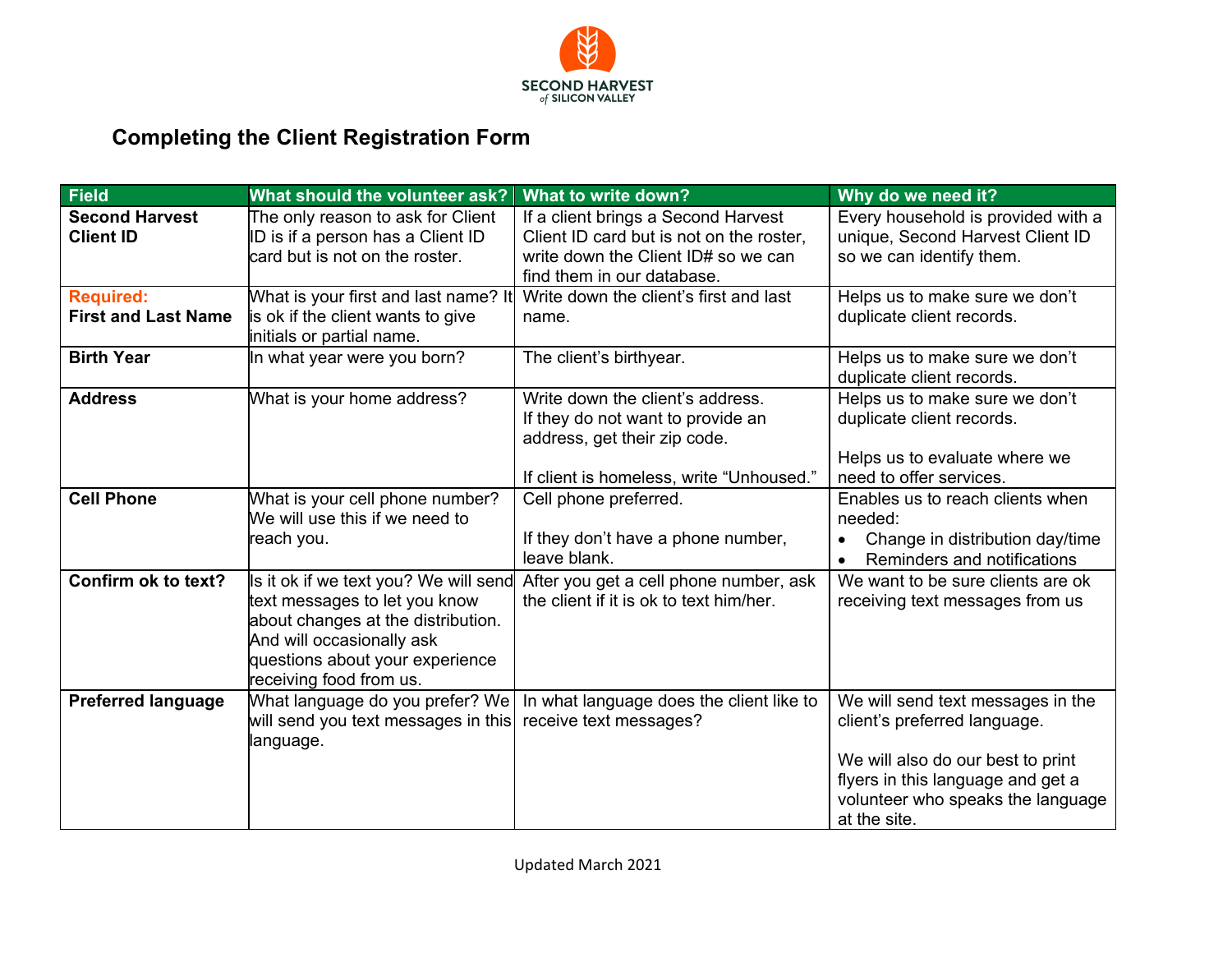

# **Completing the Client Registration Form**

| <b>Field</b>                                   | What should the volunteer ask?                                                                                                                                                                          | What to write down?                                                                                                                                  | Why do we need it?                                                                                                                                                                               |
|------------------------------------------------|---------------------------------------------------------------------------------------------------------------------------------------------------------------------------------------------------------|------------------------------------------------------------------------------------------------------------------------------------------------------|--------------------------------------------------------------------------------------------------------------------------------------------------------------------------------------------------|
| <b>Second Harvest</b><br><b>Client ID</b>      | The only reason to ask for Client<br>ID is if a person has a Client ID<br>card but is not on the roster.                                                                                                | If a client brings a Second Harvest<br>Client ID card but is not on the roster,<br>write down the Client ID# so we can<br>find them in our database. | Every household is provided with a<br>unique, Second Harvest Client ID<br>so we can identify them.                                                                                               |
| <b>Required:</b><br><b>First and Last Name</b> | What is your first and last name? It<br>is ok if the client wants to give<br>initials or partial name.                                                                                                  | Write down the client's first and last<br>name.                                                                                                      | Helps us to make sure we don't<br>duplicate client records.                                                                                                                                      |
| <b>Birth Year</b>                              | In what year were you born?                                                                                                                                                                             | The client's birthyear.                                                                                                                              | Helps us to make sure we don't<br>duplicate client records.                                                                                                                                      |
| <b>Address</b>                                 | What is your home address?                                                                                                                                                                              | Write down the client's address.<br>If they do not want to provide an<br>address, get their zip code.<br>If client is homeless, write "Unhoused."    | Helps us to make sure we don't<br>duplicate client records.<br>Helps us to evaluate where we<br>need to offer services.                                                                          |
| <b>Cell Phone</b>                              | What is your cell phone number?<br>We will use this if we need to<br>reach you.                                                                                                                         | Cell phone preferred.<br>If they don't have a phone number,<br>leave blank.                                                                          | Enables us to reach clients when<br>needed:<br>Change in distribution day/time<br>Reminders and notifications                                                                                    |
| Confirm ok to text?                            | Is it ok if we text you? We will send<br>text messages to let you know<br>about changes at the distribution.<br>And will occasionally ask<br>questions about your experience<br>receiving food from us. | After you get a cell phone number, ask<br>the client if it is ok to text him/her.                                                                    | We want to be sure clients are ok<br>receiving text messages from us                                                                                                                             |
| <b>Preferred language</b>                      | What language do you prefer? We<br>will send you text messages in this<br>language.                                                                                                                     | In what language does the client like to<br>receive text messages?                                                                                   | We will send text messages in the<br>client's preferred language.<br>We will also do our best to print<br>flyers in this language and get a<br>volunteer who speaks the language<br>at the site. |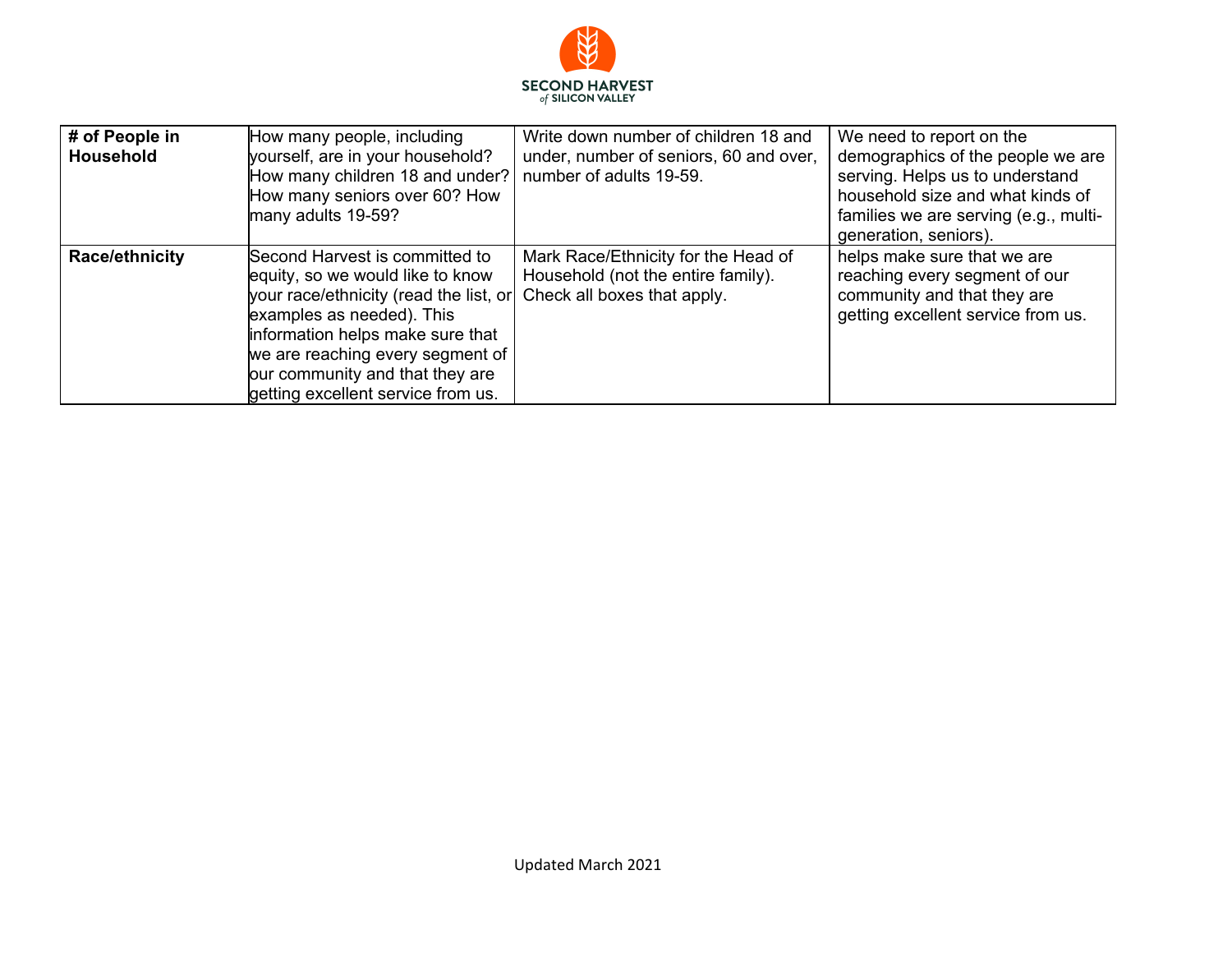

| # of People in<br>Household | How many people, including<br>yourself, are in your household?<br>How many children 18 and under?<br>How many seniors over 60? How<br>many adults 19-59?                                                                                                                                   | Write down number of children 18 and<br>under, number of seniors, 60 and over,<br>number of adults 19-59. | We need to report on the<br>demographics of the people we are<br>serving. Helps us to understand<br>household size and what kinds of<br>families we are serving (e.g., multi-<br>generation, seniors). |
|-----------------------------|--------------------------------------------------------------------------------------------------------------------------------------------------------------------------------------------------------------------------------------------------------------------------------------------|-----------------------------------------------------------------------------------------------------------|--------------------------------------------------------------------------------------------------------------------------------------------------------------------------------------------------------|
| Race/ethnicity              | Second Harvest is committed to<br>equity, so we would like to know<br>your race/ethnicity (read the list, or<br>examples as needed). This<br>information helps make sure that<br>we are reaching every segment of<br>our community and that they are<br>getting excellent service from us. | Mark Race/Ethnicity for the Head of<br>Household (not the entire family).<br>Check all boxes that apply.  | helps make sure that we are<br>reaching every segment of our<br>community and that they are<br>getting excellent service from us.                                                                      |